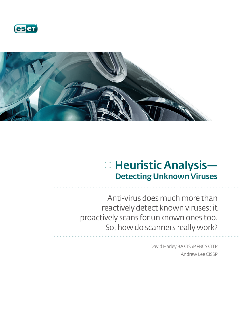



# :: Heuristic Analysis— Detecting Unknown Viruses

Anti-virus does much more than reactively detect known viruses; it proactively scans for unknown ones too. So, how do scanners really work?

> David Harley BA CISSP FBCS CITP Andrew Lee CISSP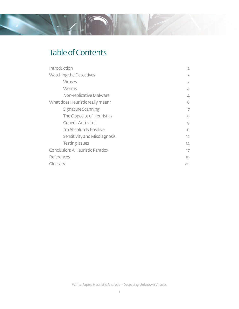## Table of Contents

| Introduction                     | $\overline{2}$ |
|----------------------------------|----------------|
| Watching the Detectives          | 3              |
| <b>Viruses</b>                   | 3              |
| <b>Worms</b>                     | 4              |
| Non-replicative Malware          | 4              |
| What does Heuristic really mean? | 6              |
| Signature Scanning               | 7              |
| The Opposite of Heuristics       | 9              |
| Generic Anti-virus               | 9              |
| I'm Absolutely Positive          | 11             |
| Sensitivity and Misdiagnosis     | 12             |
| <b>Testing Issues</b>            | 14             |
| Conclusion: A Heuristic Paradox  | 17             |
| References                       | 19             |
| Glossary                         | 20             |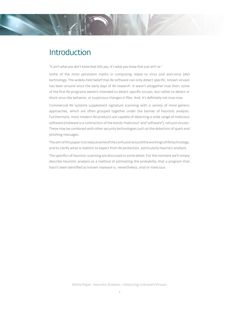## **Introduction**

*"It ain't what you don't know that kills you, it's what you know that just ain't so."*

Some of the most persistent myths in computing relate to virus and anti-virus (AV) technology. The widely-held belief that AV software can only detect specific, known viruses has been around since the early days of AV research. It wasn't altogether true then; some of the first AV programs weren't intended to detect specific viruses, but rather to detect or block virus-like behavior, or suspicious changes in files. And, it's definitely not true now.

Commercial AV systems supplement signature scanning with a variety of more generic approaches, which are often grouped together under the banner of heuristic analysis. Furthermore, most modern AV products are capable of detecting a wide range of malicious software (malware is a contraction of the words "malicious" and "software"), not just viruses. These may be combined with other security technologies such as the detection of spam and phishing messages.

The aim of this paper is to reduce some of the confusion around the workings of AV technology, and to clarify what is realistic to expect from AV protection, particularly heuristic analysis.

The specifics of heuristic scanning are discussed in some detail. For the moment we'll simply describe heuristic analysis as a method of estimating the probability that a program that hasn't been identified as known malware is, nevertheless, viral or malicious.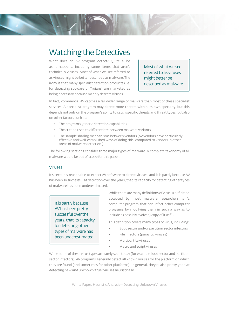## Watching the Detectives

What does an AV program detect? Quite a lot as it happens, including some items that aren't technically viruses. Most of what we see referred to as viruses might be better described as malware. The irony is that many specialist detection products (i.e. for detecting spyware or Trojans) are marketed as being necessary because AV only detects viruses.

Most of what we see referred to as viruses might better be described as malware

In fact, commercial AV catches a far wider range of malware than most of these specialist services. A specialist program may detect more threats within its own specialty, but this depends not only on the program's ability to catch specific threats and threat types, but also on other factors such as:

- The program's generic detection capabilities
- The criteria used to differentiate between malware variants
- The sample sharing mechanisms between vendors (AV vendors have particularly effective and well-established ways of doing this, compared to vendors in other areas of malware detection.)

The following sections consider three major types of malware. A complete taxonomy of all malware would be out of scope for this paper.

#### Viruses

It's certainly reasonable to expect AV software to detect viruses, and it is partly because AV has been so successful at detection over the years, that its capacity for detecting other types of malware has been underestimated.

It is partly because AV has been pretty successful over the years, that its capacity for detecting other types of malware has been underestimated.

While there are many definitions of virus, a definition accepted by most malware researchers is "a computer program that can infect other computer programs by modifying them in such a way as to include a (possibly evolved) copy of itself."<sup>1,2</sup>

This definition covers many types of virus, including:

- Boot sector and/or partition sector infectors
- File infectors (parasitic viruses)
- Multipartite viruses
- Macro and script viruses

While some of these virus types are rarely seen today (for example boot sector and partition sector infectors), AV programs generally detect all known viruses for the platform on which they are found (and sometimes for other platforms). In general, they're also pretty good at detecting new and unknown "true" viruses heuristically.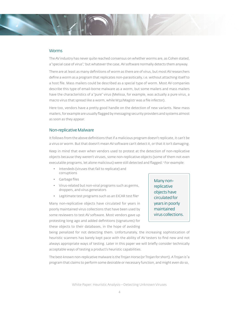#### **Worms**

The AV industry has never quite reached consensus on whether worms are, as Cohen stated, a"special case of virus",' but whatever the case, AV software normally detects them anyway.

There are at least as many definitions of worm as there are of virus, but most AV researchers define a worm as a program that replicates non-parasitically, i.e. without attaching itself to a host file. Mass mailers could be described as a special type of worm. Most AV companies describe this type of email-borne malware as a worm, but some mailers and mass mailers have the characteristics of a "pure" virus (Melissa, for example, was actually a pure virus, a macro virus that spread like a worm, while W32/Magistr was a file infector).

Here too, vendors have a pretty good handle on the detection of new variants. New mass mailers, for example are usually flagged by messaging security providers and systems almost as soon as they appear.

#### Non-replicative Malware

It follows from the above definitions that if a malicious program doesn't replicate, it can't be a virus or worm. But that doesn't mean AV software can't detect it, or that it isn't damaging.

Keep in mind that even when vendors used to protest at the detection of non-replicative objects because they weren't viruses, some non-replicative objects (some of them not even executable programs, let alone malicious) were still detected and flagged.<sup>3</sup> For example:

- Intendeds (viruses that fail to replicate) and corruptions
- Garbage files
- Virus-related but non-viral programs such as germs, droppers, and virus generators
- Legitimate test programs such as an EICAR test file<sup>4</sup>

Many non-replicative objects have circulated for years in poorly maintained virus collections that have been used by some reviewers to test AV software. Most vendors gave up protesting long ago and added definitions (signatures) for these objects to their databases, in the hope of avoiding

Many nonreplicative objects have circulated for years in poorly maintained virus collections.

being penalized for not detecting them. Unfortunately, the increasing sophistication of heuristic scanners has barely kept pace with the ability of AV testers to find new and not always appropriate ways of testing. Later in this paper we will briefly consider technically acceptable ways of testing a product's heuristic capabilities.

The best-known non-replicative malware is the Trojan Horse (or Trojan for short). A Trojan is "a program that claims to perform some desirable or necessary function, and might even do so,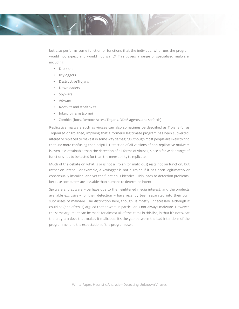

but also performs some function or functions that the individual who runs the program would not expect and would not want."5 This covers a range of specialized malware, including:

- Droppers
- Keyloggers
- Destructive Trojans
- Downloaders
- **Spyware**
- Adware
- Rootkits and stealthkits
- Joke programs (some)
- Zombies (bots, Remote Access Trojans, DDoS agents, and so forth)

Replicative malware such as viruses can also sometimes be described as Trojans (or as Trojanized or Trojaned, implying that a formerly legitimate program has been subverted, altered or replaced to make it in some way damaging), though most people are likely to find that use more confusing than helpful. Detection of all versions of non-replicative malware is even less attainable than the detection of all forms of viruses, since a far wider range of functions has to be tested for than the mere ability to replicate.

Much of the debate on what is or is not a Trojan (or malicious) rests not on function, but rather on intent. For example, a keylogger is not a Trojan if it has been legitimately or consensually installed, and yet the function is identical. This leads to detection problems, because computers are less able than humans to determine intent.

Spyware and adware – perhaps due to the heightened media interest, and the products available exclusively for their detection – have recently been separated into their own subclasses of malware. The distinction here, though, is mostly unnecessary, although it could be (and often is) argued that adware in particular is not always malware. However, the same argument can be made for almost all of the items in this list, in that it's not what the program does that makes it malicious; it's the gap between the bad intentions of the programmer and the expectation of the program user.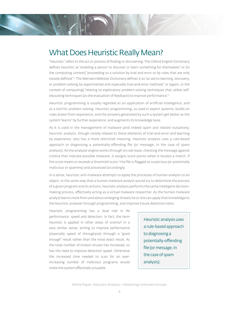

"Heuristic" refers to the act or process of finding or discovering. The Oxford English Dictionary defines heuristic as "enabling a person to discover or learn something for themselves" or (in the computing context) "proceeding to a solution by trial and error or by rules that are only loosely defined".<sup>6</sup> The Merriam-Webster Dictionary defines it as "an aid to learning, discovery, or problem-solving by experimental and especially trial-and-error methods" or (again, in the context of computing) "relating to exploratory problem-solving techniques that utilize selfeducating techniques (as the evaluation of feedback) to improve performance."7

Heuristic programming is usually regarded as an application of artificial intelligence, and as a tool for problem solving. Heuristic programming, as used in expert systems, builds on rules drawn from experience, and the answers generated by such a system get better as the system "learns" by further experience, and augments its knowledge base.

As it is used in the management of malware (and indeed spam and related nuisances), heuristic analysis, though closely related to these elements of trial-and-error and learning by experience, also has a more restricted meaning. Heuristic analysis uses a rule-based approach to diagnosing a potentially-offending file (or message, in the case of spam analysis). As the analyzer engine works through its rule-base, checking the message against criteria that indicate possible malware, it assigns score points when it locates a match. If the score meets or exceeds a threshold score, $^{\textrm{\tiny{8}}}$  the file is flagged as suspicious (or potentially malicious or spammy) and processed accordingly.

In a sense, heuristic anti-malware attempts to apply the processes of human analysis to an object. In the same way that a human malware analyst would try to determine the process of a given program and its actions, heuristic analysis performs the same intelligent decisionmaking process, effectively acting as a virtual malware researcher. As the human malware analyst learns more from and about emerging threats he or she can apply that knowledge to the heuristic analyzer through programming, and improve future detection rates.

Heuristic programming has a dual role in AV performance: speed and detection. In fact, the term heuristic is applied in other areas of science<sup>9</sup> in a very similar sense; aiming to improve performance (especially speed of throughput) through a "good enough" result rather than the most exact result. As the total number of known viruses has increased, so has the need to improve detection speed. Otherwise the increased time needed to scan for an everincreasing number of malicious programs would make the system effectively unusable.

Heuristic analysis uses a rule-based approach to diagnosing a potentially-offending file (or message, in the case of spam analysis).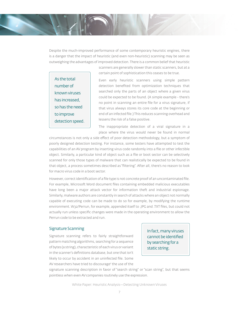Despite the much-improved performance of some contemporary heuristic engines, there is a danger that the impact of heuristic (and even non-heuristic) scanning may be seen as outweighing the advantages of improved detection. There is a common belief that heuristic

As the total number of known viruses has increased, so has the need to improve detection speed. scanners are generally slower than static scanners, but at a certain point of sophistication this ceases to be true.

Even early heuristic scanners using simple pattern detection benefited from optimization techniques that searched only the parts of an object where a given virus could be expected to be found. (A simple example - there's no point in scanning an entire file for a virus signature, if that virus always stores its core code at the beginning or end of an infected file.) This reduces scanning overhead and lessens the risk of a false positive.

The inappropriate detection of a viral signature in a place where the virus would never be found in normal

circumstances is not only a side effect of poor detection methodology, but a symptom of poorly designed detection testing. For instance, some testers have attempted to test the capabilities of an AV program by inserting virus code randomly into a file or other infectible object. Similarly, a particular kind of object such as a file or boot sector can be selectively scanned for only those types of malware that can realistically be expected to be found in that object, a process sometimes described as "filtering". After all, there's no reason to look for macro virus code in a boot sector.

However, correct identification of a file type is not concrete proof of an uncontaminated file. For example, Microsoft Word document files containing embedded malicious executables have long been a major attack vector for information theft and industrial espionage. Similarly, malware authors are constantly in search of attacks where an object not normally capable of executing code can be made to do so for example, by modifying the runtime environment. W32/Perrun, for example, appended itself to .JPG and .TXT files, but could not actually run unless specific changes were made in the operating environment to allow the Perrun code to be extracted and run.

#### Signature Scanning

Signature scanning refers to fairly straightforward pattern matching algorithms, searching for a sequence of bytes (a string), characteristic of each virus or variant in the scanner's definitions database, but one that isn't likely to occur by accident in an uninfected file. Some AV researchers have tried to discourage<sup>2</sup> the use of the

In fact, many viruses cannot be identified by searching for a static string.

signature scanning description in favor of "search string" or "scan string", but that seems pointless when even AV companies routinely use the expression.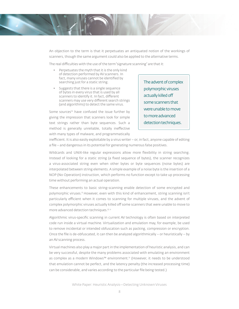

An objection to the term is that it perpetuates an antiquated notion of the workings of scanners, though the same argument could also be applied to the alternative terms.

The real difficulties with the use of the term "signature scanning" are that it:

- Perpetuates the myth that it is the only kind of detection performed by AV scanners. In fact, many viruses cannot be identified by searching just for a static string.
- Suggests that there is a single sequence of bytes in every virus that is used by all scanners to identify it. In fact, different scanners may use very different search strings (and algorithms) to detect the same virus.

Some sources<sup>10</sup> have confused the issue further by giving the impression that scanners look for simple text strings rather than byte sequences. Such a method is generally unreliable, totally ineffective with many types of malware, and programmatically

The advent of complex polymorphic viruses actually killed off some scanners that were unable to move to more advanced detection techniques.

inefficient. It is also easily exploitable by a virus writer – or, in fact, anyone capable of editing a file – and dangerous in its potential for generating numerous false positives.

Wildcards and UNIX-like regular expressions allow more flexibility in string searching. Instead of looking for a static string (a fixed sequence of bytes), the scanner recognizes a virus-associated string even when other bytes or byte sequences (noise bytes) are interpolated between string elements. A simple example of a noise byte is the insertion of a NOP (No Operation) instruction, which performs no function except to take up processing time without performing an actual operation.

These enhancements to basic string-scanning enable detection of some encrypted and polymorphic viruses.<sup>8</sup> However, even with this kind of enhancement, string scanning isn't particularly efficient when it comes to scanning for multiple viruses, and the advent of complex polymorphic viruses actually killed off some scanners that were unable to move to more advanced detection techniques.<sup>8, 11</sup>

Algorithmic virus-specific scanning in current AV technology is often based on interpreted code run inside a virtual machine. Virtualization and emulation may, for example, be used to remove incidental or intended obfuscation such as packing, compression or encryption. Once the file is de-obfuscated, it can then be analyzed algorithmically – or heuristically – by an AV scanning process.

Virtual machines also play a major part in the implementation of heuristic analysis, and can be very successful, despite the many problems associated with emulating an environment as complex as a modern Windows™ environment.12 (However, it needs to be understood that emulation cannot be perfect, and the latency penalty (the increased processing time) can be considerable, and varies according to the particular file being tested.)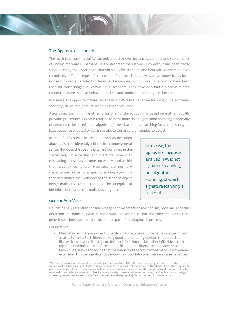#### The Opposite of Heuristics

The myth that commercial AV can only detect known instances, variants and sub-variants of known malware is, perhaps, less widespread than it was. However, it has been partly supplanted by the lesser myth that virus-specific scanners and heuristic scanners are two completely different types of scanners. In fact, heuristic analysis as we know it has been in use for over a decade, but heuristic techniques to optimize virus control have been used for much longer in "known virus" scanners. They have also had a place in related countermeasures such as behavior blockers and monitors, and integrity checkers.

In a sense, the opposite of heuristic analysis in AV is not signature scanning but algorithmic scanning, of which signature scanning is a special case.

Algorithmic scanning, like other forms of algorithmic coding, is based on mathematically provable procedures.13 What is referred to in the industry as algorithmic scanning is normally understood to be based on an algorithm (other than simply searching for a static string  $-a$ fixed sequence of bytes) which is specific to the virus it is intended to detect.

In real life of course, heuristic analysis as described above is also considered algorithmic in the more general sense. However, the use of the term algorithmic in the specialized, virus-specific (and therefore somewhat misleading) sense has become too widely used within the industry<sup>12</sup> to ignore. Heuristics are normally characterized as using a specific scoring algorithm that determines the likelihood of the scanned object being malicious, rather than by the unequivocal identification of a specific malicious program.

In a sense, the opposite of heuristic analysis in AV is not signature scanning, but algorithmic scanning, of which signature scanning is a special case.

#### Generic Anti-Virus

Heuristic analysis is often considered a generic AV detection mechanism, not a virus-specific detection mechanism. What is not always considered is that the converse is also true; generic solutions use heuristic rule-sets as part of the diagnostic process.

For instance:

• Mail gateway filters use rules to specify what file types and file names are permitted as attachments. Such filters are very good at countering obvious threats such as files with extensions like .LNK or .JPG, and .EXE, but can be rather inflexible in their rejection of whole classes of executable files.<sup>1</sup> Some filters use more advanced techniques, such as checking that the headers of the file scanned match the filename extension. This can significantly reduce the risk of false positives (and false negatives).

Why are these obvious threats? In the first case, because the .LNK suffix denotes a program shortcut, which doesn't usually make sense as an email attachment because there is no direct link between the shortcut and the program to which it should be linked: however, a shortcut file in an email attachment is often simply a Windows executable file, renamed to evade filters intended to block executable attachments. In the second case, the double extension suggests an attempt to pass off an executable file as a non-executable (graphics) file, a common virus writer's trick.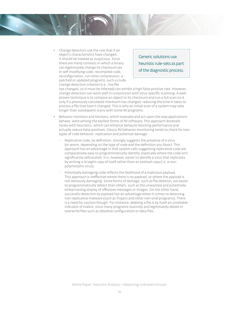• Change detectors use the rule that if an object's characteristics have changed, it should be treated as suspicious. Since there are many contexts in which a binary can legitimately change its checksum (as in self-modifying code, recompiled code, reconfiguration, run-time compression, a patched or updated program), such a crude change detection criterion (i.e., the file

Generic solutions use heuristic rule-sets as part of the diagnostic process.

has changed, so it must be infected) can exhibit a high false positive rate. However, change detection can work well in conjunction with virus-specific scanning. A wellproven technique is to compare an object to its checksum and run a full scan on it only if a previously calculated checksum has changed, reducing the time it takes to process a file that hasn't changed. This is why an initial scan of a system may take longer than subsequent scans with some AV programs.

- Behavior monitors and blockers, which evaluate and act upon the way applications behave, were among the earliest forms of AV software. This approach dovetails nicely with heuristics, which can enhance behavior blocking performance and actually reduce false positives. Classic AV behavior monitoring tends to check for two types of code behavior: replication and potential damage.
	- Replicative code, by definition, strongly suggests the presence of a virus (or worm, depending on the type of code and the definition you favor). This approach has an advantage in that system calls suggesting replicative code are comparatively easy to programmatically identify, especially where the code isn't significantly obfuscated. It is, however, easier to identify a virus that replicates by writing a straight copy of itself rather than an evolved copy (i.e. a nonpolymorphic virus).
	- Potentially damaging code reflects the likelihood of a malicious payload. This approach is ineffective where there is no payload, or where the payload is not obviously damaging. Some forms of damage, such as file deletion, are easier to programmatically detect than others, such as the unwanted and potentially embarrassing display of offensive messages or images. On the other hand, successful detection by payload has an advantage when it comes to detecting non-replicative malware (such as Trojans and other non-viral programs). There is a need for caution though. For instance, deleting a file is by itself an unreliable indicator of malice, since many programs routinely and legitimately delete or overwrite files such as obsolete configuration or data files.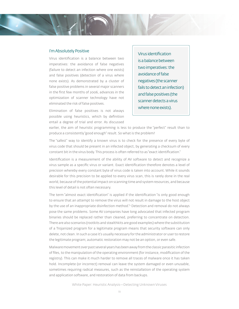#### I'm Absolutely Positive

Virus identification is a balance between two imperatives: the avoidance of false negatives (failure to detect an infection where one exists) and false positives (detection of a virus where none exists). As demonstrated by a cluster of false positive problems in several major scanners in the first few months of 2006, advances in the optimization of scanner technology have not eliminated the risk of false positives.

Elimination of false positives is not always possible using heuristics, which by definition entail a degree of trial and error. As discussed Virus identification is a balance between two imperatives: the avoidance of false negatives (the scanner fails to detect an infection) and false positives (the scanner detects a virus where none exists).

earlier, the aim of heuristic programming is less to produce the "perfect" result than to produce a consistently "good enough" result. So what is the problem?

The "safest" way to identify a known virus is to check for the presence of every byte of virus code that should be present in an infected object, by generating a checksum of every constant bit in the virus body. This process is often referred to as "exact identification."

Identification is a measurement of the ability of AV software to detect and recognize a virus sample as a specific virus or variant. Exact identification therefore denotes a level of precision whereby every constant byte of virus code is taken into account. While it sounds desirable for this precision to be applied to every virus scan, this is rarely done in the real world, because of the potential impact on scanning time and system resources, and because this level of detail is not often necessary.

The term "almost exact identification" is applied if the identification "is only good enough to ensure that an attempt to remove the virus will not result in damage to the host object by the use of an inappropriate disinfection method."2 Detection and removal do not always pose the same problems. Some AV companies have long advocated that infected program binaries should be replaced rather than cleaned, preferring to concentrate on detection. There are also scenarios (rootkits and stealthkits are good examples) where the substitution of a Trojanized program for a legitimate program means that security software can only delete, not clean. In such a case it's usually necessary for the administrator or user to restore the legitimate program; automatic restoration may not be an option, or even safe.

Malware movement over past several years has been away from the classic parasitic infection of files, to the manipulation of the operating environment (for instance, modification of the registry). This can make it much harder to remove all traces of malware once it has taken hold. Incomplete (or incorrect) removal can leave the system damaged or even unusable, sometimes requiring radical measures, such as the reinstallation of the operating system and application software, and restoration of data from backups.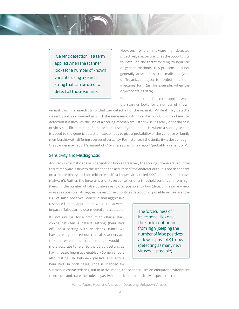"Generic detection" is a term applied when the scanner looks for a number of known variants, using a search string that can be used to detect all those variants.

However, where malware is detected proactively (i.e. before it has the opportunity to install on the target system) by heuristic or generic methods, this problem does not generally arise, unless the malicious (viral or Trojanized) object is needed in a noninfectious form (as, for example, when the object contains data).

"Generic detection" is a term applied when the scanner looks for a number of known

variants, using a search string that can detect all of the variants. While it may detect a currently unknown variant in which the same search string can be found, it's only a heuristic detection if it involves the use of a scoring mechanism. Otherwise it's really a special case of virus-specific detection. Some systems use a hybrid approach, where a scoring system is added to the generic detection capabilities to give a probability of the variance or family membership with differing degrees of certainty. For instance, if the similarity is close enough, the scanner may report "a variant of x," or if less sure, it may report "probably a variant of x".

#### Sensitivity and Misdiagnosis

Accuracy in heuristic analysis depends on how aggressively the scoring criteria are set. If the target malware is new to the scanner, the accuracy of the analyzer output is not dependent on a simple binary decision (either "yes, it's a known virus called XXX" or "no, it's not known malware"). Rather, the forcefulness of its response lies on a threshold continuum from high (keeping the number of false positives as low as possible) to low (detecting as many new viruses as possible). An aggressive response prioritizes detection of possible viruses over the

risk of false positives, where a non-aggressive response is more appropriate where the adverse impact of false alarms is considered unacceptable.

It's not unusual for a product to offer a stark choice between a default setting (heuristics off), or a setting with heuristics. (Since we have already pointed out that all scanners are to some extent heuristic, perhaps it would be more accurate to refer to the default setting as having basic heuristics enabled.) Some vendors also distinguish between passive and active heuristics. In both cases, code is scanned for

The forcefulness of its response lies on a threshold continuum from high (keeping the number of false positives as low as possible) to low (detecting as many new viruses as possible).

suspicious characteristics, but in active mode, the scanner uses an emulator environment to execute and trace the code. In passive mode, it simply statically inspects the code.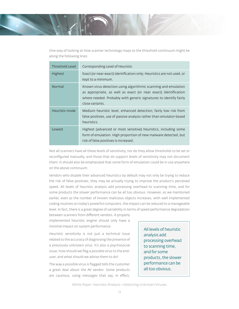One way of looking at how scanner technology maps to the threshold continuum might be along the following lines:

| <b>Threshold Level</b> | Corresponding Level of Heuristic                                                                                                                                                                                          |
|------------------------|---------------------------------------------------------------------------------------------------------------------------------------------------------------------------------------------------------------------------|
| <b>Highest</b>         | Exact (or near-exact) identification only; Heuristics are not used, or<br>kept to a minimum.                                                                                                                              |
| Normal                 | Known virus detection using algorithmic scanning and emulation<br>as appropriate, as well as exact (or near exact) identification<br>where needed. Probably with generic signatures to identify fairly<br>close variants. |
| Heuristic mode         | Medium heuristic level, enhanced detection; fairly low risk from<br>false positives, use of passive analysis rather than emulator-based<br>heuristics.                                                                    |
| Lowest                 | Highest (advanced or most sensitive) heuristics, including some<br>form of emulation. High proportion of new malware detected, but<br>risk of false positives is increased.                                               |

Not all scanners have all these levels of sensitivity, nor do they allow thresholds to be set or reconfigured manually, and those that do support levels of sensitivity may not document them. It should also be emphasized that some form of emulation could be in use anywhere on the above continuum.

Vendors who disable their advanced heuristics by default may not only be trying to reduce the risk of false positives, they may be actually trying to improve the product's perceived speed. All levels of heuristic analysis add processing overhead to scanning time, and for some products the slower performance can be all too obvious. However, as we mentioned earlier, even as the number of known malicious objects increases, with well implemented coding routines on today's powerful computers, the impact can be reduced to a manageable level. In fact, there is a great degree of variability in terms of speed performance degradation

between scanners from different vendors. A properly implemented heuristic engine should only have a minimal impact on system performance.

Heuristic sensitivity is not just a technical issue related to the accuracy of diagnosing the presence of a previously unknown virus. It's also a psychosocial issue; how should we flag a possible virus to the enduser, and what should we advise them to do?

The way a possible virus is flagged tells the customer a great deal about the AV vendor. Some products are cautious, using messages that say, in effect, All levels of heuristic analysis add processing overhead to scanning time, and for some products, the slower performance can be all too obvious.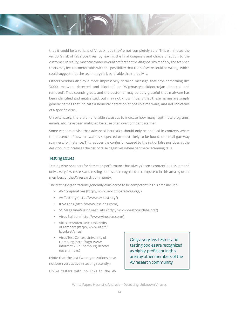that it could be a variant of Virus X, but they're not completely sure. This eliminates the vendor's risk of false positives, by leaving the final diagnosis and choice of action to the customer. In reality, most customers would prefer that the diagnosis by made by the scanner. Users may feel uncomfortable with the possibility that the software could be wrong, which could suggest that the technology is less reliable than it really is.

Others vendors display a more impressively detailed message that says something like "XXXX malware detected and blocked", or "W32/nastybackdoortrojan detected and removed". That sounds great, and the customer may be duly grateful that malware has been identified and neutralized, but may not know initially that these names are simply generic names that indicate a heuristic detection of possible malware, and not indicative of a specific virus.

Unfortunately, there are no reliable statistics to indicate how many legitimate programs, emails, etc. have been maligned because of an overconfident scanner.

Some vendors advise that advanced heuristics should only be enabled in contexts where the presence of new malware is suspected or most likely to be found, on email gateway scanners, for instance. This reduces the confusion caused by the risk of false positives at the desktop, but increases the risk of false negatives where perimeter scanning fails.

#### Testing Issues

Testing virus scanners for detection performance has always been a contentious issue,<sup>14</sup> and only a very few testers and testing bodies are recognized as competent in this area by other members of the AV research community.

The testing organizations generally considered to be competent in this area include:

- AV Comparatives (http://www.av-comparatives.org/)
- AV-Test.org (http://www.av-test.org/)
- ICSA Labs (http://www.icsalabs.com/)
- SC Magazine/West Coast Labs (http://www.westcoastlabs.org/)
- Virus Bulletin (http://www.virusbtn.com/)
- Virus Research Unit, University of Tampere (http://www.uta.fi/ laitokset/virus)
- Virus Test Center, University of Hamburg (http://agn-www. informatik.uni-hamburg.de/vtc/ naveng.htm.)

(Note that the last two organizations have not been very active in testing recently.)

Unlike testers with no links to the AV

Only a very few testers and testing bodies are recognized as highly-proficient in this area by other members of the AV research community.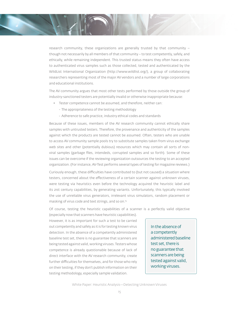research community, these organizations are generally trusted by that community – though not necessarily by all members of that community – to test competently, safely, and ethically, while remaining independent. This trusted status means they often have access to authenticated virus samples such as those collected, tested and authenticated by the WildList International Organization (http://www.wildlist.org/), a group of collaborating researchers representing most of the major AV vendors and a number of large corporations and educational institutions.

The AV community argues that most other tests performed by those outside the group of industry-sanctioned testers are potentially invalid or otherwise inappropriate because:

- Tester competence cannot be assumed, and therefore, neither can:
	- The appropriateness of the testing methodology
	- Adherence to safe practice, industry ethical codes and standards

Because of these issues, members of the AV research community cannot ethically share samples with untrusted testers. Therefore, the provenance and authenticity of the samples against which the products are tested cannot be assumed. Often, testers who are unable to access AV community sample pools try to substitute samples taken from virus exchange web sites and other (potentially dubious) resources which may contain all sorts of nonviral samples (garbage files, intendeds, corrupted samples and so forth). Some of these issues can be overcome if the reviewing organization outsources the testing to an accepted organization. (For instance, AV-Test performs several types of testing for magazine reviews.)

Curiously enough, these difficulties have contributed to (but not caused) a situation where testers, concerned about the effectiveness of a certain scanner against unknown viruses, were testing via heuristics even before the technology acquired the heuristic label and its 21st century capabilities, by generating variants. Unfortunately, this typically involved the use of unreliable virus generators, irrelevant virus simulators, random placement or masking of virus code and text strings, and so on.15

Of course, testing the heuristic capabilities of a scanner is a perfectly valid objective

(especially now that scanners have heuristic capabilities). However, it is as important for such a test to be carried out competently and safely as it is for testing known virus detection. In the absence of a competently administered baseline test set, there is no guarantee that scanners are being tested against valid, working viruses. Testers whose competence is already questionable because of lack of direct interface with the AV research community, create further difficulties for themselves, and for those who rely on their testing, if they don't publish information on their testing methodology, especially sample validation.

In the absence of a competently administered baseline test set, there is no guarantee that scanners are being tested against valid, working viruses.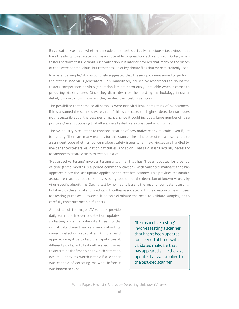By validation we mean whether the code under test is actually malicious  $-$  i.e. a virus must have the ability to replicate, worms must be able to spread correctly and so on. Often, when testers perform tests without such validation it is later discovered that many of the pieces of code were not malicious, but rather broken or legitimate fi les that were mistakenly used.

In a recent example,<sup>16</sup> it was obliquely suggested that the group commissioned to perform the testing used virus generators. This immediately caused AV researchers to doubt the testers' competence, as virus generation kits are notoriously unreliable when it comes to producing viable viruses. Since they didn't describe their testing methodology in useful detail, it wasn't known how or if they verified their testing samples.

The possibility that some or all samples were non-viral invalidates tests of AV scanners, if it is assumed the samples were viral. If this is the case, the highest detection rate does not necessarily equal the best performance, since it could include a large number of false positives,<sup>15</sup> even supposing that all scanners tested were consistently configured.

The AV industry is reluctant to condone creation of new malware or viral code, even if just for testing. There are many reasons for this stance: the adherence of most researchers to a stringent code of ethics, concern about safety issues when new viruses are handled by inexperienced testers, validation difficulties, and so on. That said, it isn't actually necessary for anyone to create viruses to test heuristics.

"Retrospective testing" involves testing a scanner that hasn't been updated for a period of time (three months is a period commonly chosen), with validated malware that has appeared since the last update applied to the test-bed scanner. This provides reasonable assurance that heuristic capability is being tested, not the detection of known viruses by virus-specific algorithms. Such a test by no means lessens the need for competent testing, but it avoids the ethical and practical difficulties associated with the creation of new viruses for testing purposes. However, it doesn't eliminate the need to validate samples, or to carefully construct meaningful tests.

Almost all of the major AV vendors provide daily (or more frequent) detection updates, so testing a scanner when it's three months out of date doesn't say very much about its current detection capabilities. A more valid approach might be to test the capabilities at different points, or to test with a specific virus to determine the first point at which detection occurs. Clearly it's worth noting if a scanner was capable of detecting malware before it was known to exist.

"Retrospective testing" involves testing a scanner that hasn't been updated for a period of time, with validated malware that has appeared since the last update that was applied to the test-bed scanner.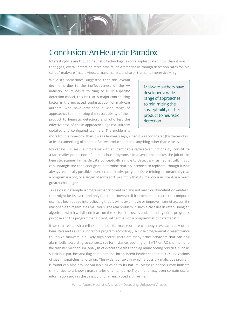### Conclusion: An Heuristic Paradox

Interestingly, even though heuristic technology is more sophisticated now than it was in the 1990s, overall detection rates have fallen dramatically, though detection rates for "old school" malware (macro viruses, mass mailers, and so on) remains impressively high.

While it's sometimes suggested that this overall decline is due to the ineffectiveness of the AV industry, or its desire to cling to a virus-specific detection model, this isn't so. A major contributing factor is the increased sophistication of malware authors, who have developed a wide range of approaches to minimizing the susceptibility of their product to heuristic detection, and who test the effectiveness of these approaches against suitably updated and configured scanners. The problem is

Malware authors have developed a wide range of approaches to minimizing the susceptibility of their product to heuristic detection.

more troublesome now than it was a few years ago, when it was considered (by the vendors, at least) something of a bonus if an AV product detected anything other than viruses.

Nowadays, viruses (i.e. programs with an identifiable replicative functionality) constitute a far smaller proportion of all malicious programs.<sup>17</sup> In a sense this makes the job of the heuristic scanner far harder; it's conceptually simple to detect a virus heuristically if you can untangle the code enough to determine that it's intended to replicate, though it isn't always technically possible to detect a replicative program. Determining automatically that a program is a bot, or a Trojan of some sort, or simply that it's malicious in intent, is a much greater challenge.5

Take a classic example: a program that reformats a disk is not malicious by definition – indeed, that might be its overt and only function. However, if it's executed because the computer user has been duped into believing that it will play a movie or improve Internet access, it's reasonable to regard it as malicious. The real problem in such a case lies in establishing an algorithm which will discriminate on the basis of the user's understanding of the program's purpose and the programmer's intent, rather than on a programmatic characteristic.

If we can't establish a reliable heuristic for malice or intent, though, we can apply other heuristics and assign a score to a program accordingly. A close programmatic resemblance to known malware is a likely high scorer. There are many other behaviors that can ring alarm bells, according to context, say for instance, opening an SMTP or IRC channel, or a file transfer mechanism. Analysis of executable files can flag many coding oddities, such as suspicious patches and flag combinations, inconsistent header characteristics, indications of size mismatches, and so on. The wider context in which a possibly malicious program is found can also provide valuable clues as to its nature. Message analysis may indicate similarities to a known mass mailer or email-borne Trojan, and may even contain useful information such as the password for an encrypted archive file.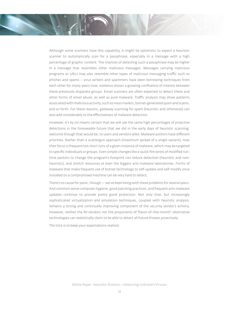Although some scanners have this capability, it might be optimistic to expect a heuristic scanner to automatically scan for a passphrase, especially in a message with a high percentage of graphic content. The chances of detecting such a passphrase may be higher in a message that resembles other malicious messages. Messages carrying malicious programs or URLs may also resemble other types of malicious messaging traffic such as phishes and spams – virus writers and spammers have been borrowing techniques from each other for many years now; evidence shows a growing confluence of interest between these previously disparate groups. Email scanners are often expected to detect these and other forms of email abuse, as well as pure malware. Traffic analysis may show patterns associated with malicious activity, such as mass mailers, botnet-generated spam and scams, and so forth. For these reasons, gateway scanning for spam (heuristic and otherwise) can also add considerably to the effectiveness of malware detection.

However, it's by no means certain that we will see the same high percentages of proactive detections in the foreseeable future that we did in the early days of heuristic scanning, welcome though that would be, to users and vendors alike. Malware authors have different priorities. Rather than a scattergun approach (maximum spread of a single variant), now their focus is frequent but short runs of a given instance of malware, which may be targeted to specific individuals or groups. Even simple changes like a quick-fire series of modified runtime packers to change the program's footprint can reduce detection (heuristic and nonheuristic), and stretch resources at even the biggest anti-malware laboratories. Forms of malware that make frequent use of botnet technology to self-update and self-modify once installed on a compromised machine can be very hard to detect.

There's no cause for panic, though — we've been living with these problems for several years. And common sense computer hygiene, good patching practices, and frequent anti-malware updates continue to provide pretty good protection. Not only that, but increasingly sophisticated virtualization and emulation techniques, coupled with heuristic analysis, remains a strong and continually improving component of the security vendor's armory. However, neither the AV vendors nor the proponents of "flavor-of-the-month" alternative technologies can realistically claim to be able to detect all future threats proactively.

The trick is to keep your expectations realistic.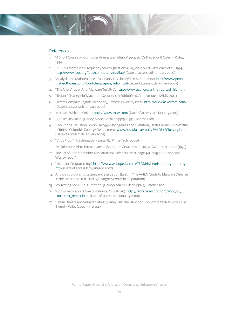

#### References

- 1. "A Short Course on Computer Viruses 2nd Edition", pp 2, 49 (Dr Frederick B Cohen): Wiley, 1994.
- 2. "VIRUS-L/comp.viru Frequently Asked Questions (FAQ) v2.00" (N. FitzGerald et al., 1995): http://www.faqs.org/faqs/computer-virus/faq/ (Date of access 12th January 2007)
- 3. "Analysis and Maintenance of a Clean Virus Library" (Dr. V. Bontchev): http://www.people. frisk-software.com/~bontchev/papers/virlib.html (Date of access 12th January 2007)
- 4. "The Anti-Virus or Anti-Malware Test File": http://www.eicar.org/anti\_virus\_test\_file.htm
- 5. "Trojans" (Harley), in "Maximum Security 4th Edition" (ed. Anonymous): SAMS, 2003
- 6. Oxford Compact English Dictionary, Oxford University Press: http://www.askoxford.com/ (Date of access 12th January 2007)
- 7. Merriam-Webster Online: http://www.m-w.com/ (Date of access 12th January 2007)
- 8. "Viruses Revealed" (Harley, Slade, Gattiker) pp158-159: Osborne 2001
- 9. "Evolution Discussion Group Fall 1996 Phylogenies and Evolution, Useful Terms" University of British Columbia Zoology Department: www.bcu.ubc.ca/~otto/EvolDisc/Glossary.html (Date of access 12th January 2007)
- 10. "Virus Proof" (P. Schmauder), page 187: Prima Tech (2000)
- 11. Dr. Solomon's Virus Encyclopaedia (Solomon, Gryaznov), pp30-31: S&S International (1995).
- 12. The Art of Computer Virus Research and Defense (Szor), page 441, pp451-466: Addison-Wesley (2005).
- 13. "Heuristic Programming": http://www.webopedia.com/TERM/h/heuristic\_programming. html (Date of access 12th January 2007)
- 14. Anti-virus programs: testing and evaluation (Lee): in "The AVIEN Guide to Malware Defense in the Enterprise" (Ed. Harley): Syngress (2007, in preparation).
- 15. "AV Testing SANS Virus Creation" (Harley): Virus Bulletin pp6-7, October 2006
- 16. "Consumer Reports Creating Viruses?" (Sullivan): http://redtape.msnbc.com/2006/08/ consumer\_report.html (Date of access 12th January 2006).
- 17. "Email Threats and Vulnerabilities" (Harley). In "The Handbook of Computer Networks" (Ed. Bidgoli): Wiley (2007 – in press).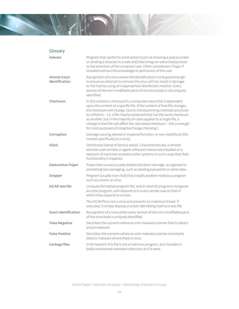

### Glossary

| Adware                                | Program that performs some action (such as showing a popup screen<br>or sending a browser to a web site) that brings an advertiser/product<br>to the attention of the computer user. Often considered a Trojan if<br>installed without the knowledge or permission of the user.                                                                                                                                                                                                                   |
|---------------------------------------|---------------------------------------------------------------------------------------------------------------------------------------------------------------------------------------------------------------------------------------------------------------------------------------------------------------------------------------------------------------------------------------------------------------------------------------------------------------------------------------------------|
| <b>Almost Exact</b><br>Identification | Recognition of a virus where the identification is only good enough<br>to ensure an attempt to remove the virus will not result in damage<br>to the host by using an inappropriate disinfection method. Every<br>section of the non-modifiable parts of the virus body is not uniquely<br>identified.                                                                                                                                                                                             |
| Checksum                              | In this context a checksum is a computed value that is dependent<br>upon the content of a specific file. If the content of that file changes,<br>the checksum will change. (Some checksumming methods are prone<br>to collisions - i.e. a file may be produced that has the same checksum<br>as another, but in the majority of cases applied to a single file, a<br>change in that file will affect the calculated checksum - this is enough<br>for most purposes of integrity/change checking.) |
| Corruption                            | Damage causing altered or impaired function, or non-viability (in this<br>context specifically to a virus).                                                                                                                                                                                                                                                                                                                                                                                       |
| <b>DDoS</b>                           | Distributed Denial of Service attack. Characteristically, a remote<br>attacker uses zombie or agent software maliciously installed on a<br>network of machines to attack other systems in such a way that their<br>functionality is impaired.                                                                                                                                                                                                                                                     |
| Destructive Trojan                    | Trojan that causes (usually deliberate) direct damage, as opposed to<br>something less damaging, such as stealing passwords or other data.                                                                                                                                                                                                                                                                                                                                                        |
| <b>Dropper</b>                        | Program (usually non-viral) that installs another malicious program<br>such as a worm or virus.                                                                                                                                                                                                                                                                                                                                                                                                   |
| <b>EICAR test file</b>                | Uniquely formatted program file, which most AV programs recognize<br>as a test program, and respond to in a very similar way to that in<br>which they respond to viruses.                                                                                                                                                                                                                                                                                                                         |
|                                       | The EICAR file is not a virus and presents no malicious threat: if<br>executed, it simply displays a screen identifying itself as a test file.                                                                                                                                                                                                                                                                                                                                                    |
| <b>Exact Identification</b>           | Recognition of a virus when every section of the non-modifiable parts<br>of the virus body is uniquely identified.                                                                                                                                                                                                                                                                                                                                                                                |
| <b>False Negative</b>                 | Describes the scenario where an anti-malware scanner fails to detect<br>actual malware.                                                                                                                                                                                                                                                                                                                                                                                                           |
| <b>False Positive</b>                 | Describes the scenario where an anti-malware scanner incorrectly<br>detects malware where there is none.                                                                                                                                                                                                                                                                                                                                                                                          |
| <b>Garbage files</b>                  | In AV research this file is not a malicious program, but included in<br>badly maintained malware collections as if it were.                                                                                                                                                                                                                                                                                                                                                                       |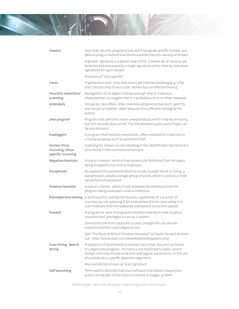| Generic                                                            | Describes security programs that don't recognize specific threats, but<br>defend using a method that blocks a whole class (or classes) of threats.                                                                                                                     |
|--------------------------------------------------------------------|------------------------------------------------------------------------------------------------------------------------------------------------------------------------------------------------------------------------------------------------------------------------|
|                                                                    | A generic signature is a special case of this; a whole set of variants are<br>detected and processed by a single signature rather than by individual<br>signatures for each variant.                                                                                   |
|                                                                    | Antonym of "virus specific."                                                                                                                                                                                                                                           |
| Germ                                                               | A "generation zero" virus that hasn't yet infected anything (e.g. a file<br>that consists only of virus code, rather than an infected binary).                                                                                                                         |
| Heuristic detection/<br>scanning                                   | Recognition of an object that has enough viral or malicious<br>characteristics to suggest that it is probably a virus or other malware.                                                                                                                                |
| <b>Intendeds</b>                                                   | Viruses (or, less often, other malicious programs) that don't work for<br>one reason or another, often because of insufficient testing by the<br>author.                                                                                                               |
| Joke program                                                       | Program that performs some unexpected act which may be annoying,<br>but isn't actually destructive. The line between a joke and a Trojan can<br>be very tenuous.                                                                                                       |
| <b>Keyloggers</b>                                                  | A program that monitors keystrokes, often installed for malicious or<br>criminal purposes such as password theft.                                                                                                                                                      |
| <b>Known Virus</b><br>Scanning, Virus-<br><b>Specific Scanning</b> | Scanning for known viruses resulting in the identification by name of a<br>virus found in the scanned environment.                                                                                                                                                     |
| Negative heuristic                                                 | A rule or criterion, which if met lessens the likelihood that the object<br>being analyzed is not viral or malicious.                                                                                                                                                  |
| Passphrase                                                         | As opposed to a password which is usually a single 'word' or string, a<br>passphrase is usually a longer group of words which is used as a more<br>secure form of password.                                                                                            |
| Positive heuristic                                                 | A rule or criterion, which if met increases the likelihood that the<br>program being analyzed is viral or malicious.                                                                                                                                                   |
|                                                                    | Retrospective testing A technique for testing the heuristic capabilities of a scanner or<br>scanners by not updating it for a set period of time, then using it to<br>scan malware that has appeared subsequent to the last update.                                    |
| Rootkit                                                            | A program or suite of programs installed covertly in order to allow<br>unauthorized, privileged access to a system.                                                                                                                                                    |
|                                                                    | Sometimes the term stealthkit is used, though this can denote<br>unauthorized but unprivileged access.                                                                                                                                                                 |
|                                                                    | [See "The Root of All Evil? Rootkits Revealed" by David Harley & Andrew<br>Lee-http://www.eset.com/download/whitepapers.php]                                                                                                                                           |
| Scan String, Search<br><b>String</b>                               | A sequence of bytes found in a known virus that shouldn't be found<br>in a legitimate program. The term is not restricted to static search<br>strings, and may include wildcards and regular expressions, or the use<br>of another virus-specific detection algorithm. |
|                                                                    | Also sometimes known as "scan signature".                                                                                                                                                                                                                              |
| Self launching                                                     | Term used to describe malicious software that doesn't require any<br>action on the part of the victim to spread or trigger, or both.                                                                                                                                   |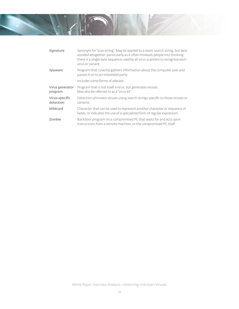

| Signature                   | Synonym for "scan string". May be applied to a static search string, but best<br>avoided altogether, particularly as it often misleads people into thinking<br>there is a single byte sequence used by all virus scanners to recognize each<br>virus or variant. |
|-----------------------------|------------------------------------------------------------------------------------------------------------------------------------------------------------------------------------------------------------------------------------------------------------------|
| Spyware                     | Program that covertly gathers information about the computer user and<br>passes it on to an interested party.                                                                                                                                                    |
|                             | Includes some forms of adware.                                                                                                                                                                                                                                   |
| Virus generator<br>program  | Program that is not itself a virus, but generates viruses.<br>May also be referred to as a "virus kit".                                                                                                                                                          |
| Virus-specific<br>detection | Detection of known viruses using search strings specific to those viruses or<br>variants.                                                                                                                                                                        |
| Wildcard                    | Character that can be used to represent another character or sequence of<br>bytes, or indicates the use of a specialized form of regular expression.                                                                                                             |
| Zombie                      | Backdoor program on a compromised PC that waits for and acts upon<br>instructions from a remote machine, or the compromised PC itself.                                                                                                                           |